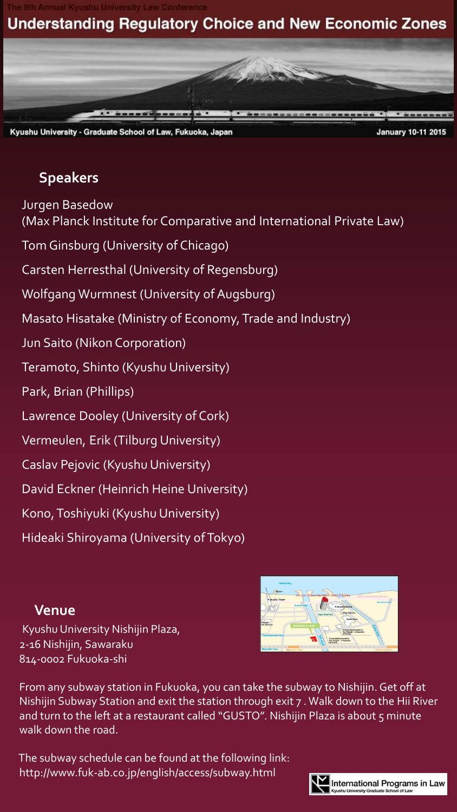# **Understanding Regulatory Choice and New Economic Zones**



Kyushu University - Graduate School of Law, Fukuoka, Japan

#### **January 10-11 2015**

# **Speakers**

Jurgen Basedow (Max Planck Institute for Comparative and International Private Law) Tom Ginsburg (University of Chicago) Carsten Herresthal (University of Regensburg) Wolfgang Wurmnest (University of Augsburg) Masato Hisatake (Ministry of Economy, Trade and Industry) Jun Saito (Nikon Corporation) Teramoto, Shinto (Kyushu University) Park, Brian (Phillips) Lawrence Dooley (University of Cork) Vermeulen, Erik (Tilburg University) Caslav Pejovic (Kyushu University) David Eckner (Heinrich Heine University) Kono, Toshiyuki (Kyushu University) Hideaki Shiroyama (University of Tokyo)

### **Venue**

Kyushu University Nishijin Plaza, 2-16 Nishijin, Sawaraku 814-0002 Fukuoka-shi



From any subway station in Fukuoka, you can take the subway to Nishijin. Get off at Nishijin Subway Station and exit the station through exit 7 . Walk down to the Hii River and turn to the left at a restaurant called "GUSTO". Nishijin Plaza is about 5 minute walk down the road.

The subway schedule can be found at the following link: http://www.fuk-ab.co.jp/english/access/subway.html

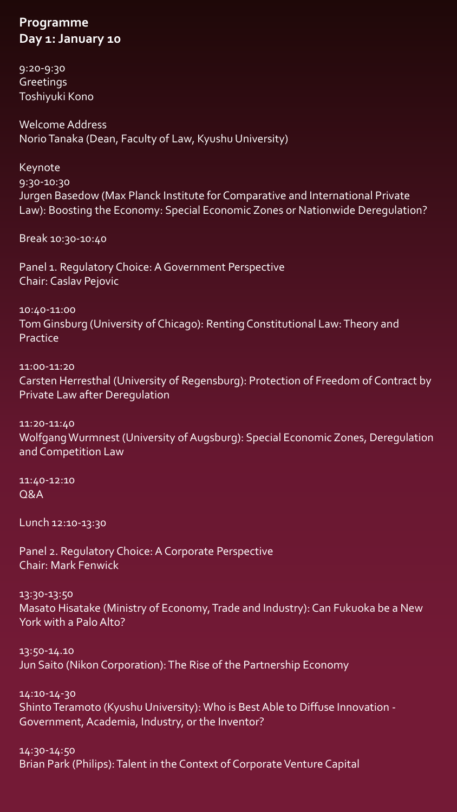#### **Programme Day 1: January 10**

9:20-9:30 **Greetings** Toshiyuki Kono

Welcome Address Norio Tanaka (Dean, Faculty of Law, Kyushu University)

Keynote 9:30-10:30 Jurgen Basedow (Max Planck Institute for Comparative and International Private Law): Boosting the Economy: Special Economic Zones or Nationwide Deregulation?

Break 10:30-10:40

Panel 1. Regulatory Choice: A Government Perspective Chair: Caslav Pejovic

10:40-11:00 Tom Ginsburg (University of Chicago): Renting Constitutional Law: Theory and Practice

11:00-11:20 Carsten Herresthal (University of Regensburg): Protection of Freedom of Contract by Private Law after Deregulation

11:20-11:40 Wolfgang Wurmnest (University of Augsburg): Special Economic Zones, Deregulation and Competition Law

11:40-12:10 Q&A

Lunch 12:10-13:30

Panel 2. Regulatory Choice: A Corporate Perspective Chair: Mark Fenwick

13:30-13:50 Masato Hisatake (Ministry of Economy, Trade and Industry): Can Fukuoka be a New York with a Palo Alto?

13:50-14.10 Jun Saito (Nikon Corporation): The Rise of the Partnership Economy

14:10-14-30 Shinto Teramoto (Kyushu University): Who is Best Able to Diffuse Innovation - Government, Academia, Industry, or the Inventor?

14:30-14:50 Brian Park (Philips): Talent in the Context of Corporate Venture Capital